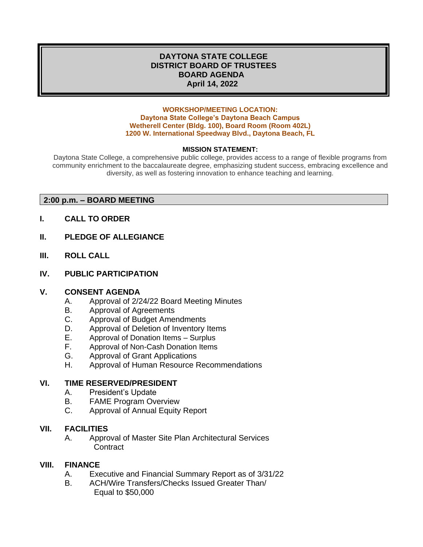### **DAYTONA STATE COLLEGE DISTRICT BOARD OF TRUSTEES BOARD AGENDA April 14, 2022**

#### **WORKSHOP/MEETING LOCATION: Daytona State College's Daytona Beach Campus Wetherell Center (Bldg. 100), Board Room (Room 402L) 1200 W. International Speedway Blvd., Daytona Beach, FL**

### **MISSION STATEMENT:**

Daytona State College, a comprehensive public college, provides access to a range of flexible programs from community enrichment to the baccalaureate degree, emphasizing student success, embracing excellence and diversity, as well as fostering innovation to enhance teaching and learning.

### **2:00 p.m. – BOARD MEETING**

- **I. CALL TO ORDER**
- **II. PLEDGE OF ALLEGIANCE**
- **III. ROLL CALL**
- **IV. PUBLIC PARTICIPATION**

#### **V. CONSENT AGENDA**

- A. Approval of 2/24/22 Board Meeting Minutes
- B. Approval of Agreements
- C. Approval of Budget Amendments
- D. Approval of Deletion of Inventory Items
- E. Approval of Donation Items Surplus
- F. Approval of Non-Cash Donation Items
- G. Approval of Grant Applications
- H. Approval of Human Resource Recommendations

#### **VI. TIME RESERVED/PRESIDENT**

- A. President's Update
- B. FAME Program Overview
- C. Approval of Annual Equity Report

#### **VII. FACILITIES**

A. Approval of Master Site Plan Architectural Services **Contract** 

#### **VIII. FINANCE**

- A. Executive and Financial Summary Report as of 3/31/22
- B. ACH/Wire Transfers/Checks Issued Greater Than/ Equal to \$50,000